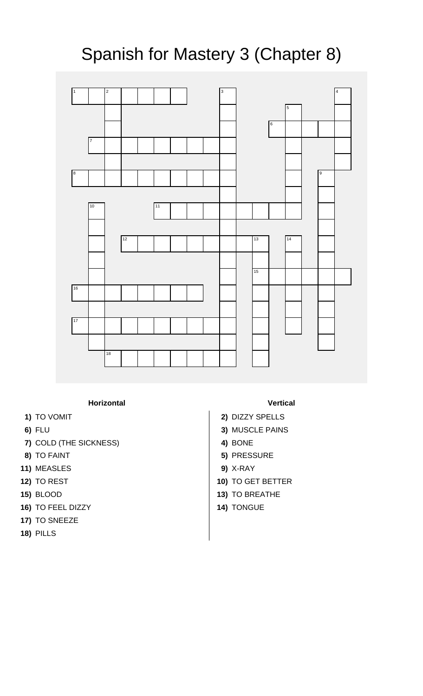## Spanish for Mastery 3 (Chapter 8)



**Horizontal Vertical**

- 
- 
- **7)** COLD (THE SICKNESS) **4)** BONE
- 
- **11)** MEASLES **9)** X-RAY
- 
- 
- **16)** TO FEEL DIZZY **14)** TONGUE
- **17)** TO SNEEZE
- **18)** PILLS
- 
- **1)** TO VOMIT **2)** DIZZY SPELLS
- **6)** FLU **3)** MUSCLE PAINS
	-
- **8)** TO FAINT **5)** PRESSURE
	-
- **12)** TO REST **10)** TO GET BETTER
- **15)** BLOOD **13)** TO BREATHE
	-